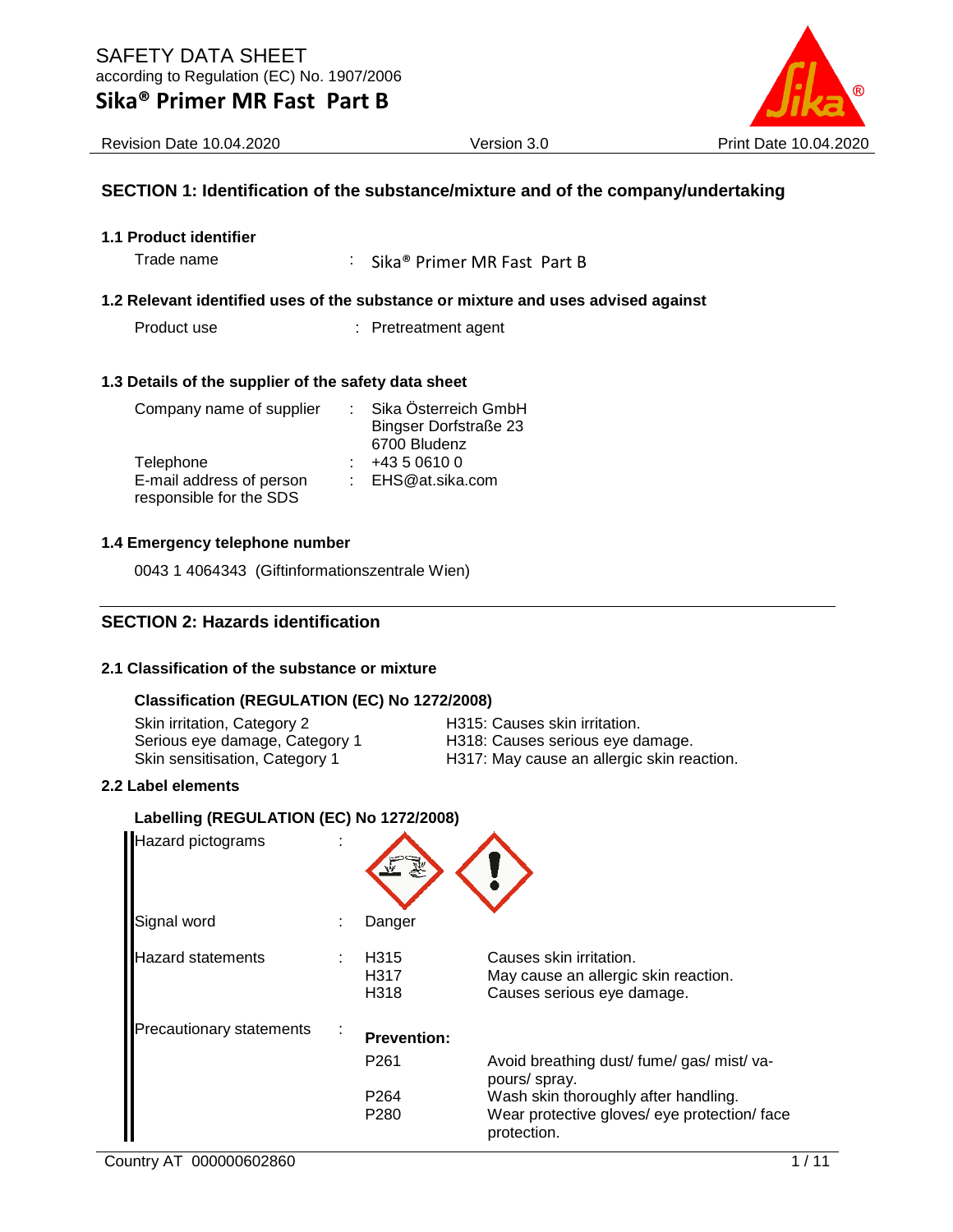

Revision Date 10.04.2020 Version 3.0 Print Date 10.04.2020

## **SECTION 1: Identification of the substance/mixture and of the company/undertaking**

**1.1 Product identifier**

Trade name : Sika® Primer MR Fast Part B

#### **1.2 Relevant identified uses of the substance or mixture and uses advised against**

Product use : Pretreatment agent

#### **1.3 Details of the supplier of the safety data sheet**

| Company name of supplier |  | Sika Österreich GmbH         |  |
|--------------------------|--|------------------------------|--|
|                          |  | <b>Bingser Dorfstraße 23</b> |  |
|                          |  | 6700 Bludenz                 |  |
| Telephone                |  | +43 5 0610 0                 |  |
| E-mail address of person |  | : EHS@at.sika.com            |  |
| responsible for the SDS  |  |                              |  |

### **1.4 Emergency telephone number**

0043 1 4064343 (Giftinformationszentrale Wien)

## **SECTION 2: Hazards identification**

## **2.1 Classification of the substance or mixture**

## **Classification (REGULATION (EC) No 1272/2008)**

Skin irritation, Category 2 **H315: Causes skin irritation**.

Serious eye damage, Category 1 H318: Causes serious eye damage. Skin sensitisation, Category 1 H317: May cause an allergic skin reaction.

#### **2.2 Label elements**

## **Labelling (REGULATION (EC) No 1272/2008)**

| Hazard pictograms               |                          |                                                                                                     |
|---------------------------------|--------------------------|-----------------------------------------------------------------------------------------------------|
| Signal word                     | Danger                   |                                                                                                     |
| <b>Hazard statements</b>        | H315<br>H317<br>H318     | Causes skin irritation.<br>May cause an allergic skin reaction.<br>Causes serious eye damage.       |
| <b>Precautionary statements</b> | <b>Prevention:</b>       |                                                                                                     |
|                                 | P <sub>261</sub>         | Avoid breathing dust/ fume/ gas/ mist/ va-<br>pours/ spray.                                         |
|                                 | P <sub>264</sub><br>P280 | Wash skin thoroughly after handling.<br>Wear protective gloves/ eye protection/ face<br>protection. |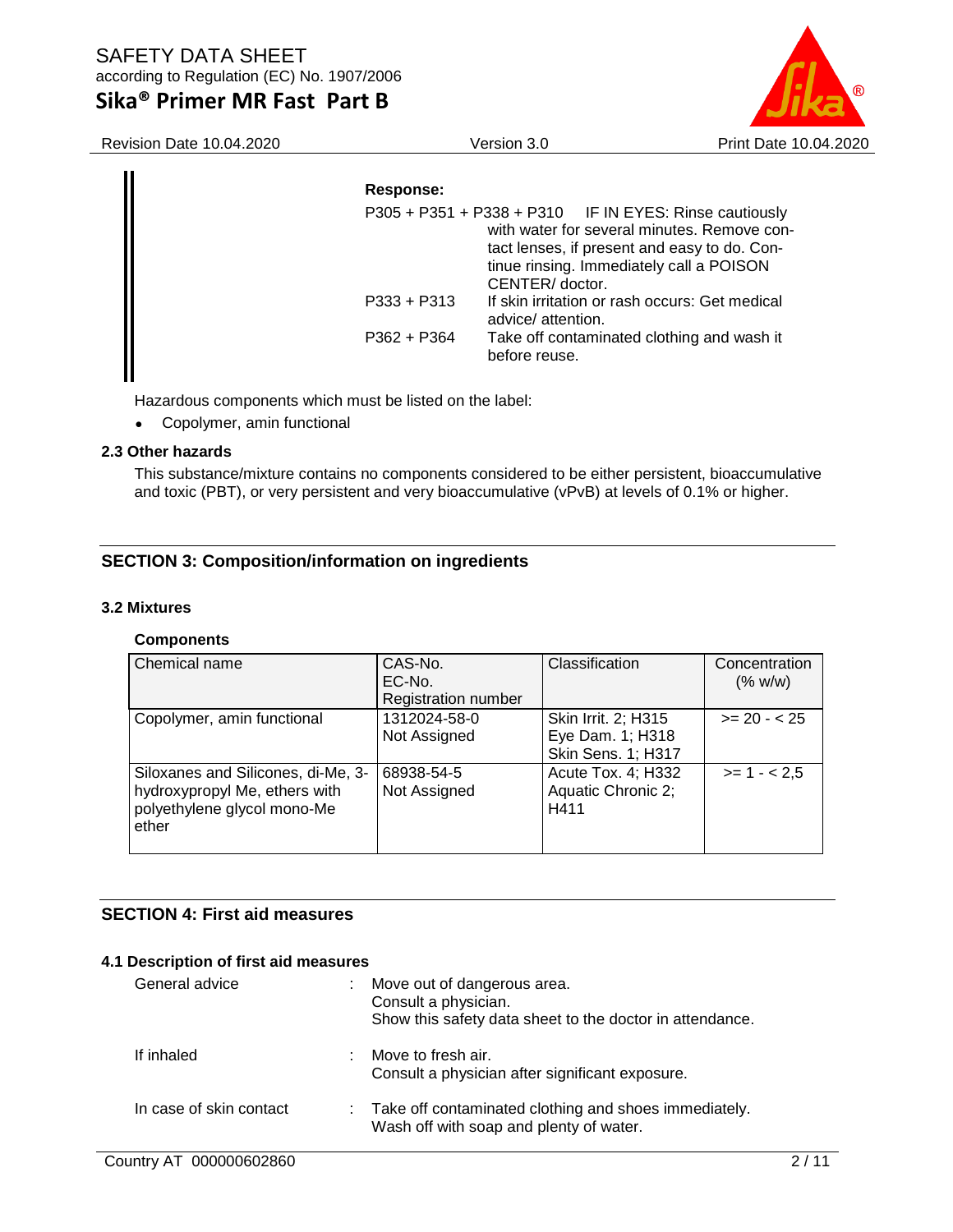# **Sika® Primer MR Fast Part B**



Revision Date 10.04.2020 Version 3.0 Print Date 10.04.2020

| Response:     |                                                                                                                                                                                                                       |
|---------------|-----------------------------------------------------------------------------------------------------------------------------------------------------------------------------------------------------------------------|
|               | $P305 + P351 + P338 + P310$ IF IN EYES: Rinse cautiously<br>with water for several minutes. Remove con-<br>tact lenses, if present and easy to do. Con-<br>tinue rinsing. Immediately call a POISON<br>CENTER/doctor. |
| $P333 + P313$ | If skin irritation or rash occurs: Get medical<br>advice/ attention.                                                                                                                                                  |
| $P362 + P364$ | Take off contaminated clothing and wash it<br>before reuse.                                                                                                                                                           |

Hazardous components which must be listed on the label:

• Copolymer, amin functional

### **2.3 Other hazards**

This substance/mixture contains no components considered to be either persistent, bioaccumulative and toxic (PBT), or very persistent and very bioaccumulative (vPvB) at levels of 0.1% or higher.

## **SECTION 3: Composition/information on ingredients**

### **3.2 Mixtures**

## **Components**

| Chemical name                                                                                               | CAS-No.<br>EC-No.<br><b>Registration number</b> | Classification                                                       | Concentration<br>(% w/w) |
|-------------------------------------------------------------------------------------------------------------|-------------------------------------------------|----------------------------------------------------------------------|--------------------------|
| Copolymer, amin functional                                                                                  | 1312024-58-0<br>Not Assigned                    | Skin Irrit. 2; H315<br>Eye Dam. 1; H318<br><b>Skin Sens. 1; H317</b> | $>= 20 - 25$             |
| Siloxanes and Silicones, di-Me, 3-<br>hydroxypropyl Me, ethers with<br>polyethylene glycol mono-Me<br>ether | 68938-54-5<br>Not Assigned                      | Acute Tox. 4; H332<br>Aquatic Chronic 2;<br>H411                     | $>= 1 - 2.5$             |

## **SECTION 4: First aid measures**

#### **4.1 Description of first aid measures**

| General advice          | ÷ | Move out of dangerous area.<br>Consult a physician.<br>Show this safety data sheet to the doctor in attendance. |
|-------------------------|---|-----------------------------------------------------------------------------------------------------------------|
| If inhaled              |   | Move to fresh air.<br>Consult a physician after significant exposure.                                           |
| In case of skin contact |   | : Take off contaminated clothing and shoes immediately.<br>Wash off with soap and plenty of water.              |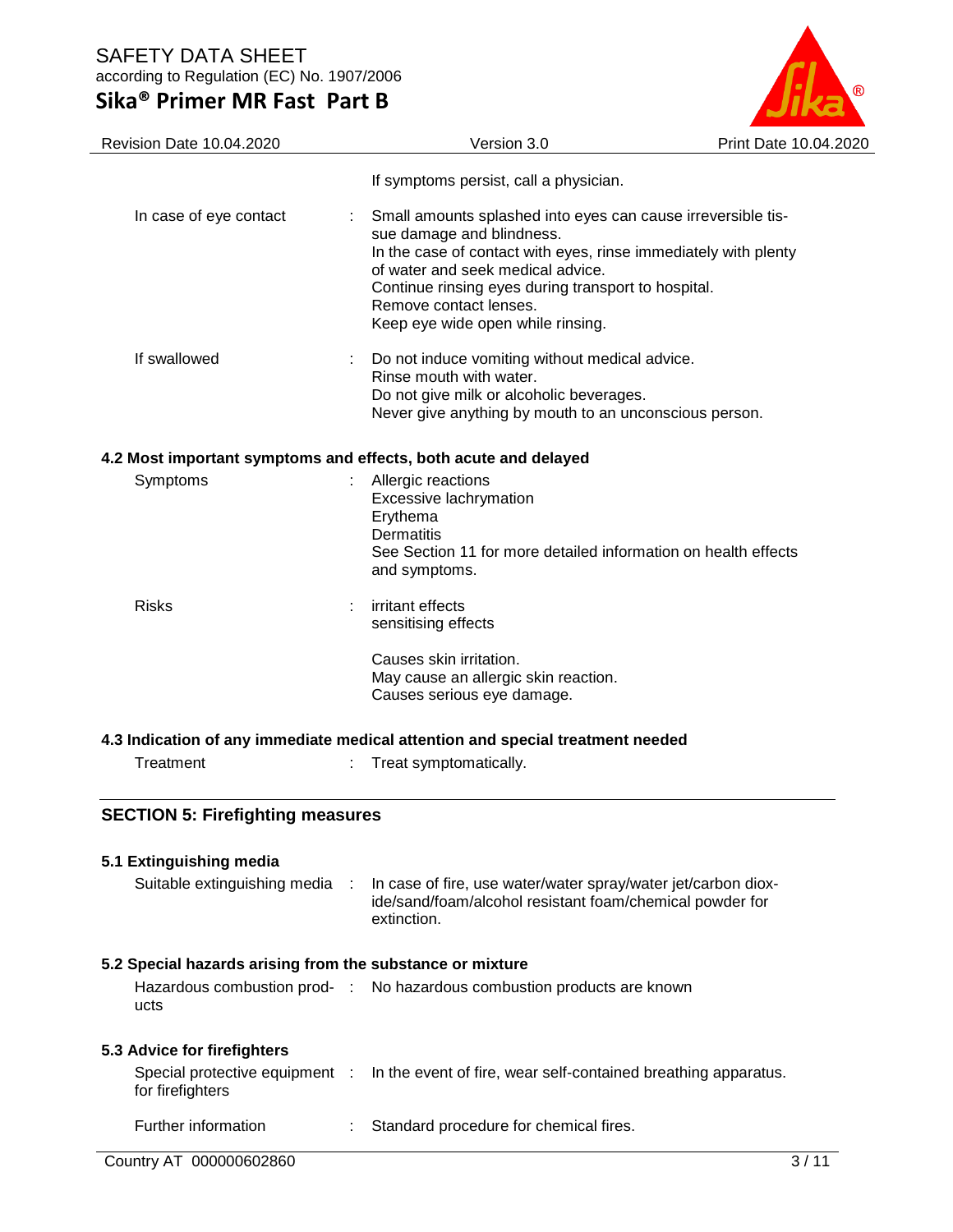# **Sika® Primer MR Fast Part B**



| Revision Date 10.04.2020                                        | Version 3.0                                                                                                                                                                                                                                                                                                             | Print Date 10.04.2020 |
|-----------------------------------------------------------------|-------------------------------------------------------------------------------------------------------------------------------------------------------------------------------------------------------------------------------------------------------------------------------------------------------------------------|-----------------------|
|                                                                 | If symptoms persist, call a physician.                                                                                                                                                                                                                                                                                  |                       |
| In case of eye contact                                          | Small amounts splashed into eyes can cause irreversible tis-<br>sue damage and blindness.<br>In the case of contact with eyes, rinse immediately with plenty<br>of water and seek medical advice.<br>Continue rinsing eyes during transport to hospital.<br>Remove contact lenses.<br>Keep eye wide open while rinsing. |                       |
| If swallowed                                                    | Do not induce vomiting without medical advice.<br>Rinse mouth with water.<br>Do not give milk or alcoholic beverages.<br>Never give anything by mouth to an unconscious person.                                                                                                                                         |                       |
| 4.2 Most important symptoms and effects, both acute and delayed |                                                                                                                                                                                                                                                                                                                         |                       |
| Symptoms                                                        | Allergic reactions<br>Excessive lachrymation<br>Erythema<br><b>Dermatitis</b><br>See Section 11 for more detailed information on health effects<br>and symptoms.                                                                                                                                                        |                       |
| <b>Risks</b>                                                    | irritant effects<br>sensitising effects                                                                                                                                                                                                                                                                                 |                       |
|                                                                 | Causes skin irritation.<br>May cause an allergic skin reaction.<br>Causes serious eye damage.                                                                                                                                                                                                                           |                       |
|                                                                 | 4.3 Indication of any immediate medical attention and special treatment needed                                                                                                                                                                                                                                          |                       |
| Treatment                                                       | Treat symptomatically.                                                                                                                                                                                                                                                                                                  |                       |
| <b>SECTION 5: Firefighting measures</b>                         |                                                                                                                                                                                                                                                                                                                         |                       |
| 5.1 Extinguishing media                                         |                                                                                                                                                                                                                                                                                                                         |                       |
| Suitable extinguishing media                                    | In case of fire, use water/water spray/water jet/carbon diox-<br>ide/sand/foam/alcohol resistant foam/chemical powder for<br>extinction.                                                                                                                                                                                |                       |
| 5.2 Special hazards arising from the substance or mixture       |                                                                                                                                                                                                                                                                                                                         |                       |
| ucts                                                            | Hazardous combustion prod- : No hazardous combustion products are known                                                                                                                                                                                                                                                 |                       |
| 5.3 Advice for firefighters                                     |                                                                                                                                                                                                                                                                                                                         |                       |
| Special protective equipment :<br>for firefighters              | In the event of fire, wear self-contained breathing apparatus.                                                                                                                                                                                                                                                          |                       |
| Further information                                             | Standard procedure for chemical fires.                                                                                                                                                                                                                                                                                  |                       |
| Country AT 000000602860                                         |                                                                                                                                                                                                                                                                                                                         | 3/11                  |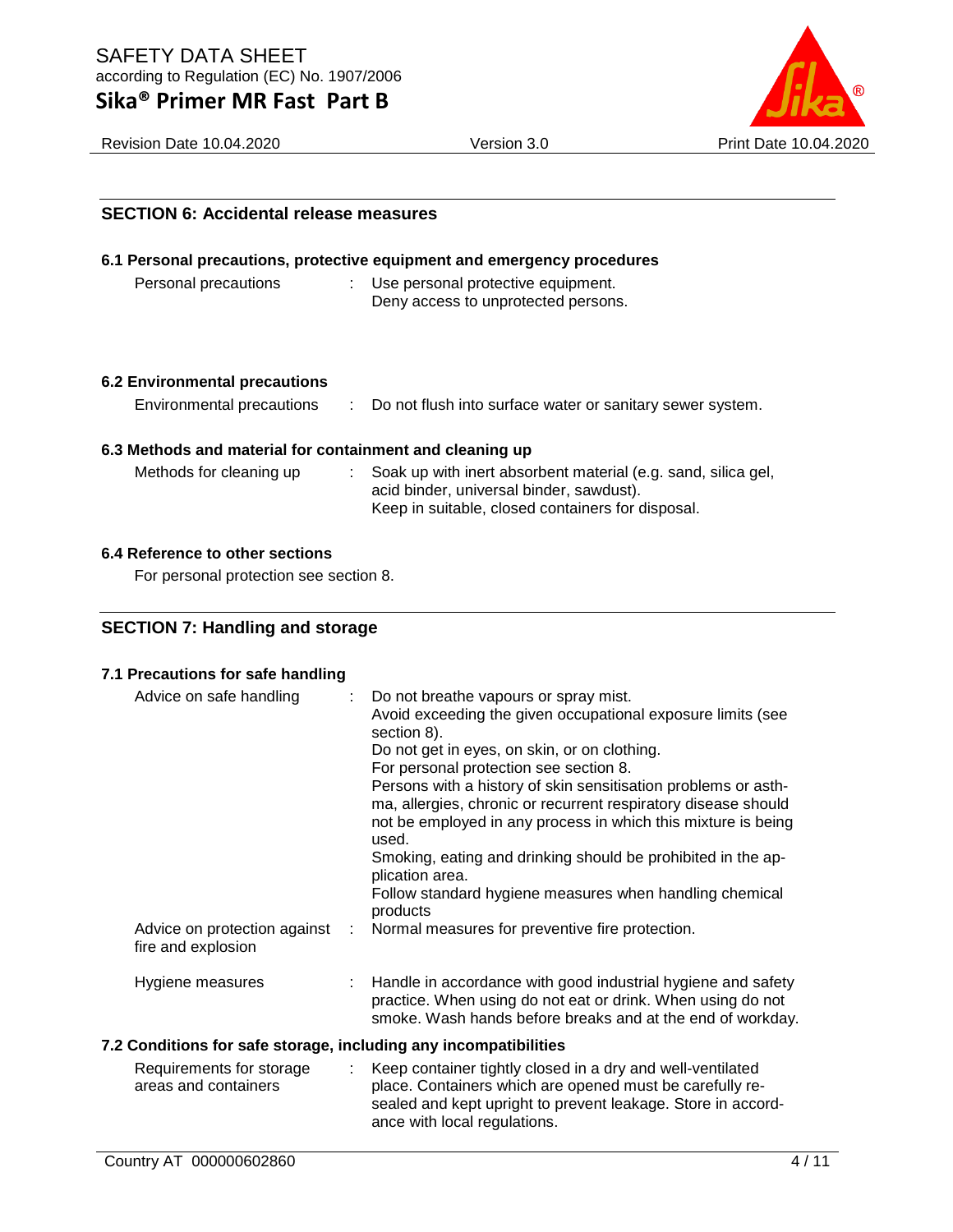# **Sika® Primer MR Fast Part B**

**SECTION 6: Accidental release measures**



Revision Date 10.04.2020 Version 3.0 Print Date 10.04.2020

# **6.1 Personal precautions, protective equipment and emergency procedures** Personal precautions : Use personal protective equipment. Deny access to unprotected persons. **6.2 Environmental precautions** Environmental precautions : Do not flush into surface water or sanitary sewer system. **6.3 Methods and material for containment and cleaning up** Methods for cleaning up : Soak up with inert absorbent material (e.g. sand, silica gel, acid binder, universal binder, sawdust). Keep in suitable, closed containers for disposal. **6.4 Reference to other sections** For personal protection see section 8. **SECTION 7: Handling and storage 7.1 Precautions for safe handling** Advice on safe handling : Do not breathe vapours or spray mist. Avoid exceeding the given occupational exposure limits (see section 8). Do not get in eyes, on skin, or on clothing. For personal protection see section 8. Persons with a history of skin sensitisation problems or asthma, allergies, chronic or recurrent respiratory disease should not be employed in any process in which this mixture is being used. Smoking, eating and drinking should be prohibited in the application area. Follow standard hygiene measures when handling chemical products Advice on protection against fire and explosion : Normal measures for preventive fire protection.

Hygiene measures : Handle in accordance with good industrial hygiene and safety practice. When using do not eat or drink. When using do not smoke. Wash hands before breaks and at the end of workday.

## **7.2 Conditions for safe storage, including any incompatibilities**

Requirements for storage areas and containers : Keep container tightly closed in a dry and well-ventilated place. Containers which are opened must be carefully resealed and kept upright to prevent leakage. Store in accordance with local regulations.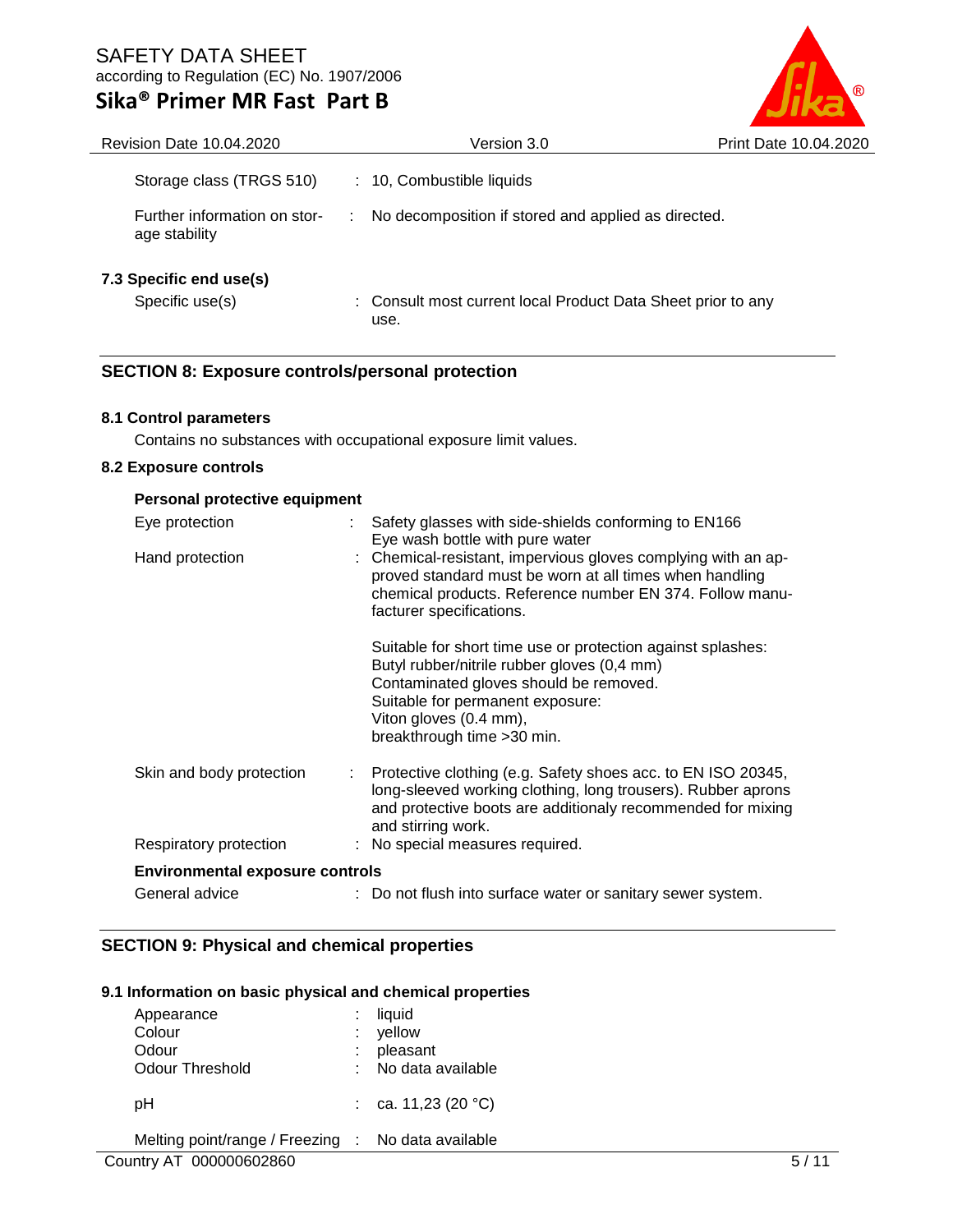# **Sika® Primer MR Fast Part B**



| <b>Revision Date 10.04.2020</b>               | Version 3.0                                                          | Print Date 10.04.2020 |
|-----------------------------------------------|----------------------------------------------------------------------|-----------------------|
| Storage class (TRGS 510)                      | : 10, Combustible liquids                                            |                       |
| Further information on stor-<br>age stability | No decomposition if stored and applied as directed.<br>÷             |                       |
| 7.3 Specific end use(s)                       |                                                                      |                       |
| Specific use(s)                               | : Consult most current local Product Data Sheet prior to any<br>use. |                       |

## **SECTION 8: Exposure controls/personal protection**

## **8.1 Control parameters**

Contains no substances with occupational exposure limit values.

### **8.2 Exposure controls**

| Personal protective equipment          |  |                                                                                                                                                                                                                                                   |  |  |
|----------------------------------------|--|---------------------------------------------------------------------------------------------------------------------------------------------------------------------------------------------------------------------------------------------------|--|--|
| Eye protection                         |  | Safety glasses with side-shields conforming to EN166<br>Eye wash bottle with pure water                                                                                                                                                           |  |  |
| Hand protection                        |  | : Chemical-resistant, impervious gloves complying with an ap-<br>proved standard must be worn at all times when handling<br>chemical products. Reference number EN 374. Follow manu-<br>facturer specifications.                                  |  |  |
|                                        |  | Suitable for short time use or protection against splashes:<br>Butyl rubber/nitrile rubber gloves (0,4 mm)<br>Contaminated gloves should be removed.<br>Suitable for permanent exposure:<br>Viton gloves (0.4 mm),<br>breakthrough time > 30 min. |  |  |
| Skin and body protection               |  | Protective clothing (e.g. Safety shoes acc. to EN ISO 20345,<br>long-sleeved working clothing, long trousers). Rubber aprons<br>and protective boots are additionaly recommended for mixing<br>and stirring work.                                 |  |  |
| Respiratory protection                 |  | : No special measures required.                                                                                                                                                                                                                   |  |  |
| <b>Environmental exposure controls</b> |  |                                                                                                                                                                                                                                                   |  |  |
| General advice                         |  | : Do not flush into surface water or sanitary sewer system.                                                                                                                                                                                       |  |  |

## **SECTION 9: Physical and chemical properties**

### **9.1 Information on basic physical and chemical properties**

| Appearance<br>Colour<br>Odour<br>Odour Threshold | ÷              | liquid<br>yellow<br>pleasant<br>No data available |  |
|--------------------------------------------------|----------------|---------------------------------------------------|--|
| pН                                               |                | ca. 11,23 (20 °C)                                 |  |
| Melting point/range / Freezing<br>------------   | $\sim 10^{-1}$ | No data available                                 |  |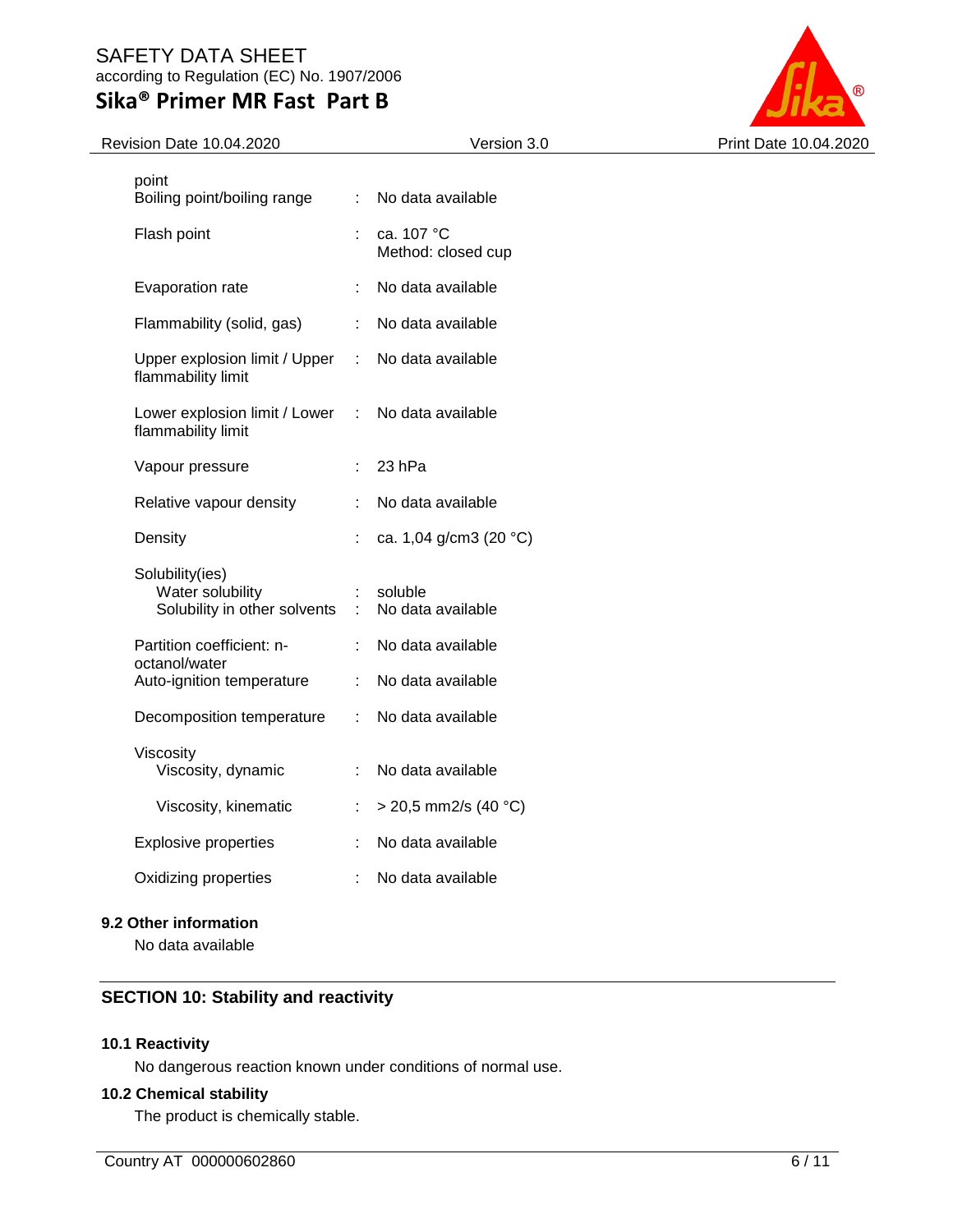# **Sika® Primer MR Fast Part B**



| Revision Date 10.04.2020                                            |                      | Version 3.0                      | Print Date 10.04.2020 |
|---------------------------------------------------------------------|----------------------|----------------------------------|-----------------------|
| point<br>Boiling point/boiling range                                | ÷                    | No data available                |                       |
| Flash point                                                         |                      | ca. 107 °C<br>Method: closed cup |                       |
| Evaporation rate                                                    |                      | No data available                |                       |
| Flammability (solid, gas)                                           | ÷                    | No data available                |                       |
| Upper explosion limit / Upper<br>flammability limit                 | $\mathcal{L}$        | No data available                |                       |
| Lower explosion limit / Lower<br>flammability limit                 | $\ddot{\phantom{a}}$ | No data available                |                       |
| Vapour pressure                                                     | ÷                    | 23 hPa                           |                       |
| Relative vapour density                                             |                      | No data available                |                       |
| Density                                                             | ÷                    | ca. 1,04 g/cm3 (20 °C)           |                       |
| Solubility(ies)<br>Water solubility<br>Solubility in other solvents | $\pm$                | soluble<br>No data available     |                       |
| Partition coefficient: n-<br>octanol/water                          |                      | No data available                |                       |
| Auto-ignition temperature                                           | ÷                    | No data available                |                       |
| Decomposition temperature                                           | ÷                    | No data available                |                       |
| Viscosity<br>Viscosity, dynamic                                     |                      | No data available                |                       |
| Viscosity, kinematic                                                |                      | $>$ 20,5 mm2/s (40 °C)           |                       |
| <b>Explosive properties</b>                                         |                      | No data available                |                       |
| Oxidizing properties                                                |                      | No data available                |                       |
|                                                                     |                      |                                  |                       |

## **9.2 Other information**

No data available

## **SECTION 10: Stability and reactivity**

## **10.1 Reactivity**

No dangerous reaction known under conditions of normal use.

### **10.2 Chemical stability**

The product is chemically stable.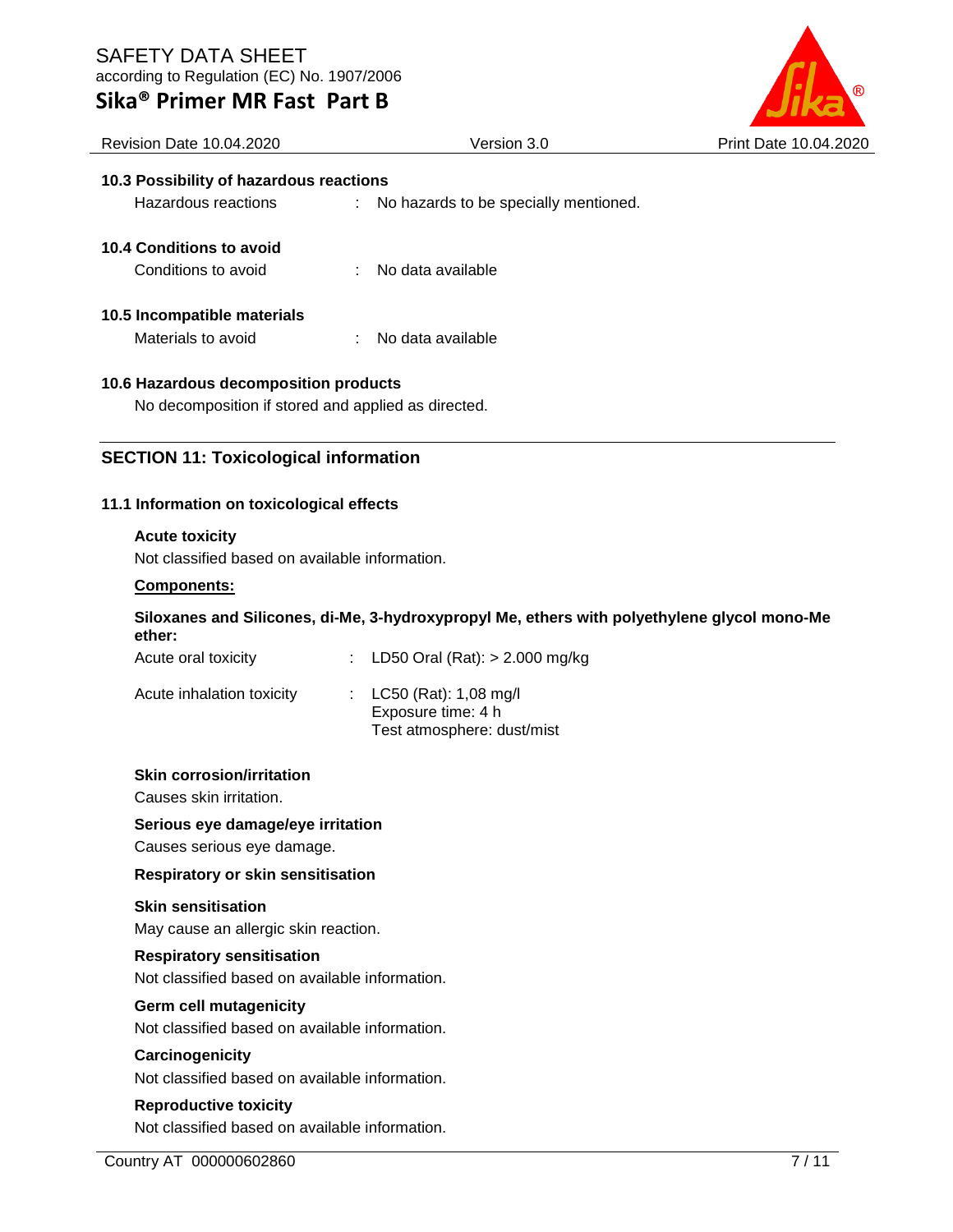| Sika® Primer MR Fast Part B |  |  |  |
|-----------------------------|--|--|--|
|-----------------------------|--|--|--|



| <b>Revision Date 10.04.2020</b>                     | Version 3.0                             | Print Date 10.04.2020 |
|-----------------------------------------------------|-----------------------------------------|-----------------------|
| 10.3 Possibility of hazardous reactions             |                                         |                       |
| Hazardous reactions                                 | : No hazards to be specially mentioned. |                       |
| 10.4 Conditions to avoid                            |                                         |                       |
| Conditions to avoid                                 | : No data available                     |                       |
| 10.5 Incompatible materials                         |                                         |                       |
| Materials to avoid                                  | No data available                       |                       |
| 10.6 Hazardous decomposition products               |                                         |                       |
| No decomposition if stored and applied as directed. |                                         |                       |
|                                                     |                                         |                       |

# **SECTION 11: Toxicological information**

## **11.1 Information on toxicological effects**

## **Acute toxicity**

Not classified based on available information.

## **Components:**

## **Siloxanes and Silicones, di-Me, 3-hydroxypropyl Me, ethers with polyethylene glycol mono-Me ether:**

| Acute oral toxicity       | : LD50 Oral (Rat): $> 2.000$ mg/kg                                            |
|---------------------------|-------------------------------------------------------------------------------|
| Acute inhalation toxicity | : $LC50$ (Rat): 1,08 mg/l<br>Exposure time: 4 h<br>Test atmosphere: dust/mist |

## **Skin corrosion/irritation**

Causes skin irritation.

## **Serious eye damage/eye irritation**

Causes serious eye damage.

## **Respiratory or skin sensitisation**

## **Skin sensitisation**

May cause an allergic skin reaction.

## **Respiratory sensitisation**

Not classified based on available information.

## **Germ cell mutagenicity**

Not classified based on available information.

## **Carcinogenicity**

Not classified based on available information.

## **Reproductive toxicity**

Not classified based on available information.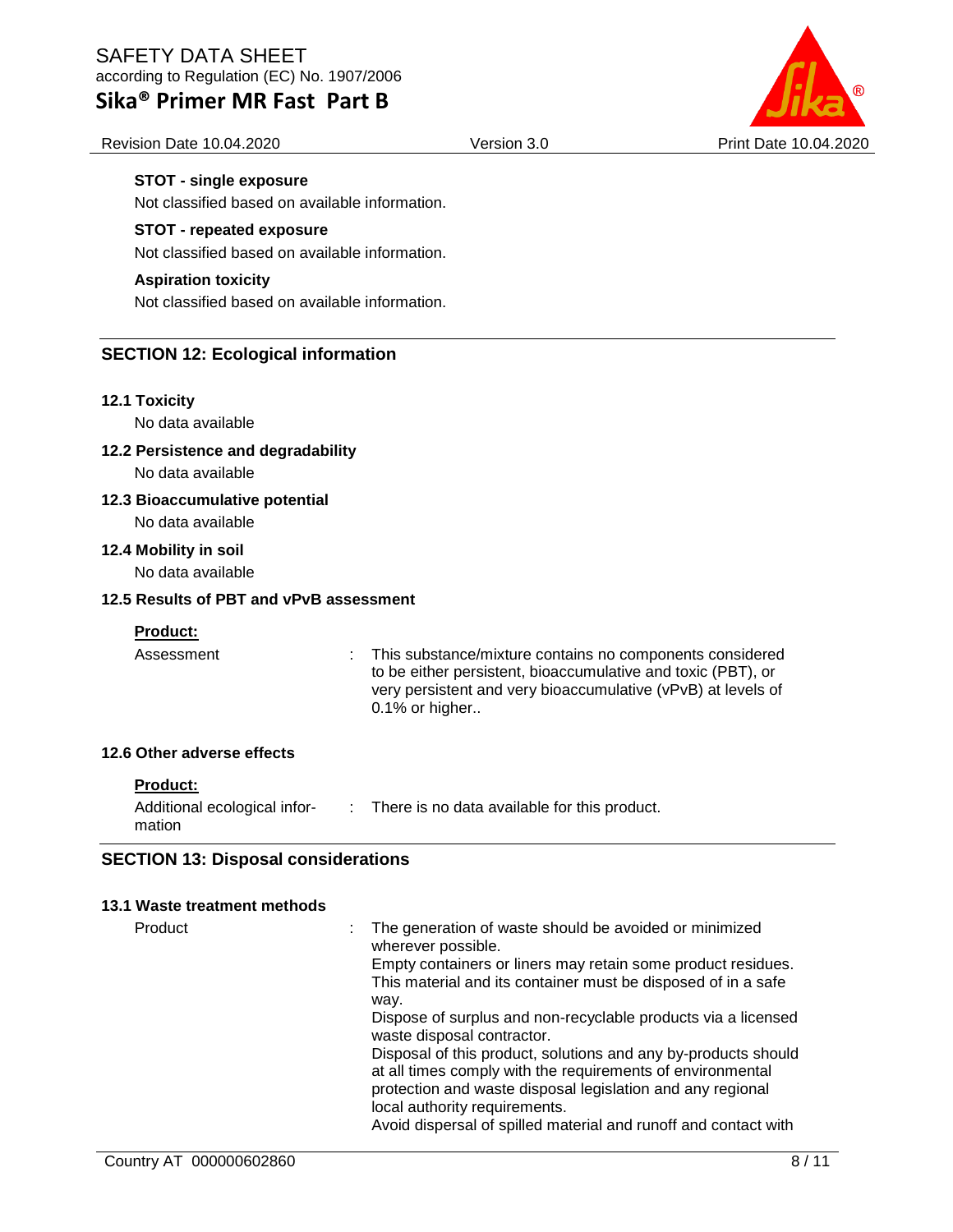# **Sika® Primer MR Fast Part B**



Revision Date 10.04.2020 Version 3.0 Print Date 10.04.2020

## **STOT - single exposure**

Not classified based on available information.

### **STOT - repeated exposure**

Not classified based on available information.

#### **Aspiration toxicity**

Not classified based on available information.

## **SECTION 12: Ecological information**

#### **12.1 Toxicity**

No data available

### **12.2 Persistence and degradability**

No data available

### **12.3 Bioaccumulative potential**

No data available

#### **12.4 Mobility in soil**

No data available

### **12.5 Results of PBT and vPvB assessment**

## **Product:**

Assessment : This substance/mixture contains no components considered to be either persistent, bioaccumulative and toxic (PBT), or very persistent and very bioaccumulative (vPvB) at levels of 0.1% or higher..

### **12.6 Other adverse effects**

| <b>Product:</b> |
|-----------------|
|                 |

| Additional ecological infor- | There is no data available for this product. |
|------------------------------|----------------------------------------------|
| mation                       |                                              |

## **SECTION 13: Disposal considerations**

#### **13.1 Waste treatment methods**

Product **interpolance in the generation of waste should be avoided or minimized** wherever possible. Empty containers or liners may retain some product residues. This material and its container must be disposed of in a safe way. Dispose of surplus and non-recyclable products via a licensed waste disposal contractor. Disposal of this product, solutions and any by-products should at all times comply with the requirements of environmental protection and waste disposal legislation and any regional local authority requirements. Avoid dispersal of spilled material and runoff and contact with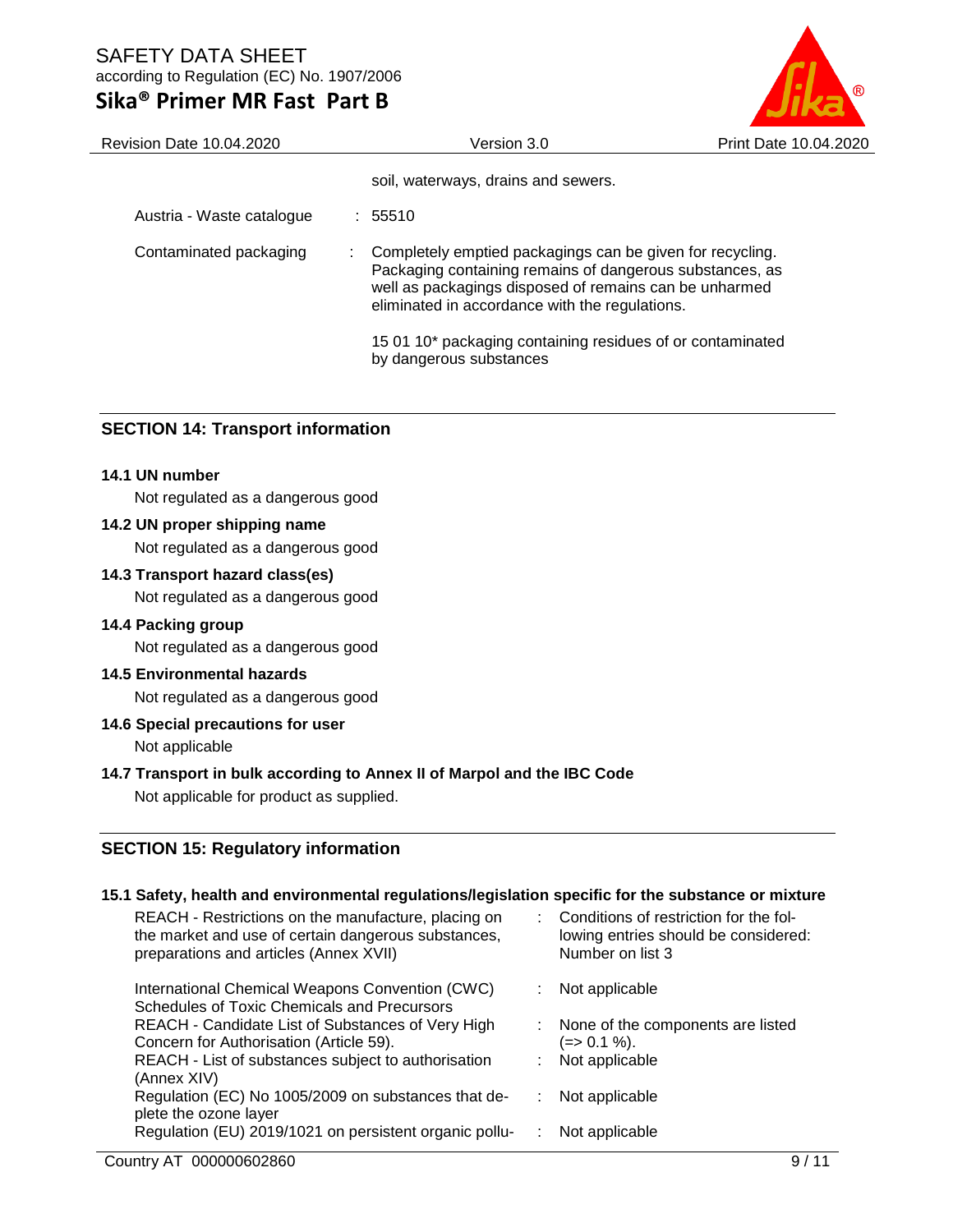# **Sika® Primer MR Fast Part B**



| Revision Date 10.04.2020  | Version 3.0                                                                                                                                                                                                                       | Print Date 10.04.2020 |
|---------------------------|-----------------------------------------------------------------------------------------------------------------------------------------------------------------------------------------------------------------------------------|-----------------------|
|                           | soil, waterways, drains and sewers.                                                                                                                                                                                               |                       |
| Austria - Waste catalogue | $\div$ 55510                                                                                                                                                                                                                      |                       |
| Contaminated packaging    | Completely emptied packagings can be given for recycling.<br>Packaging containing remains of dangerous substances, as<br>well as packagings disposed of remains can be unharmed<br>eliminated in accordance with the regulations. |                       |
|                           | 15 01 10* packaging containing residues of or contaminated<br>by dangerous substances                                                                                                                                             |                       |

## **SECTION 14: Transport information**

### **14.1 UN number**

Not regulated as a dangerous good

### **14.2 UN proper shipping name**

Not regulated as a dangerous good

### **14.3 Transport hazard class(es)**

Not regulated as a dangerous good

#### **14.4 Packing group**

Not regulated as a dangerous good

#### **14.5 Environmental hazards**

Not regulated as a dangerous good

#### **14.6 Special precautions for user**

Not applicable

#### **14.7 Transport in bulk according to Annex II of Marpol and the IBC Code**

Not applicable for product as supplied.

## **SECTION 15: Regulatory information**

### **15.1 Safety, health and environmental regulations/legislation specific for the substance or mixture**

| REACH - Restrictions on the manufacture, placing on<br>the market and use of certain dangerous substances,<br>preparations and articles (Annex XVII) |    | : Conditions of restriction for the fol-<br>lowing entries should be considered:<br>Number on list 3 |
|------------------------------------------------------------------------------------------------------------------------------------------------------|----|------------------------------------------------------------------------------------------------------|
| International Chemical Weapons Convention (CWC)<br>Schedules of Toxic Chemicals and Precursors                                                       |    | Not applicable                                                                                       |
| REACH - Candidate List of Substances of Very High<br>Concern for Authorisation (Article 59).                                                         |    | : None of the components are listed<br>(=> 0.1 %).                                                   |
| REACH - List of substances subject to authorisation<br>(Annex XIV)                                                                                   | ÷. | Not applicable                                                                                       |
| Regulation (EC) No 1005/2009 on substances that de-<br>plete the ozone layer                                                                         |    | Not applicable                                                                                       |
| Regulation (EU) 2019/1021 on persistent organic pollu-                                                                                               |    | Not applicable                                                                                       |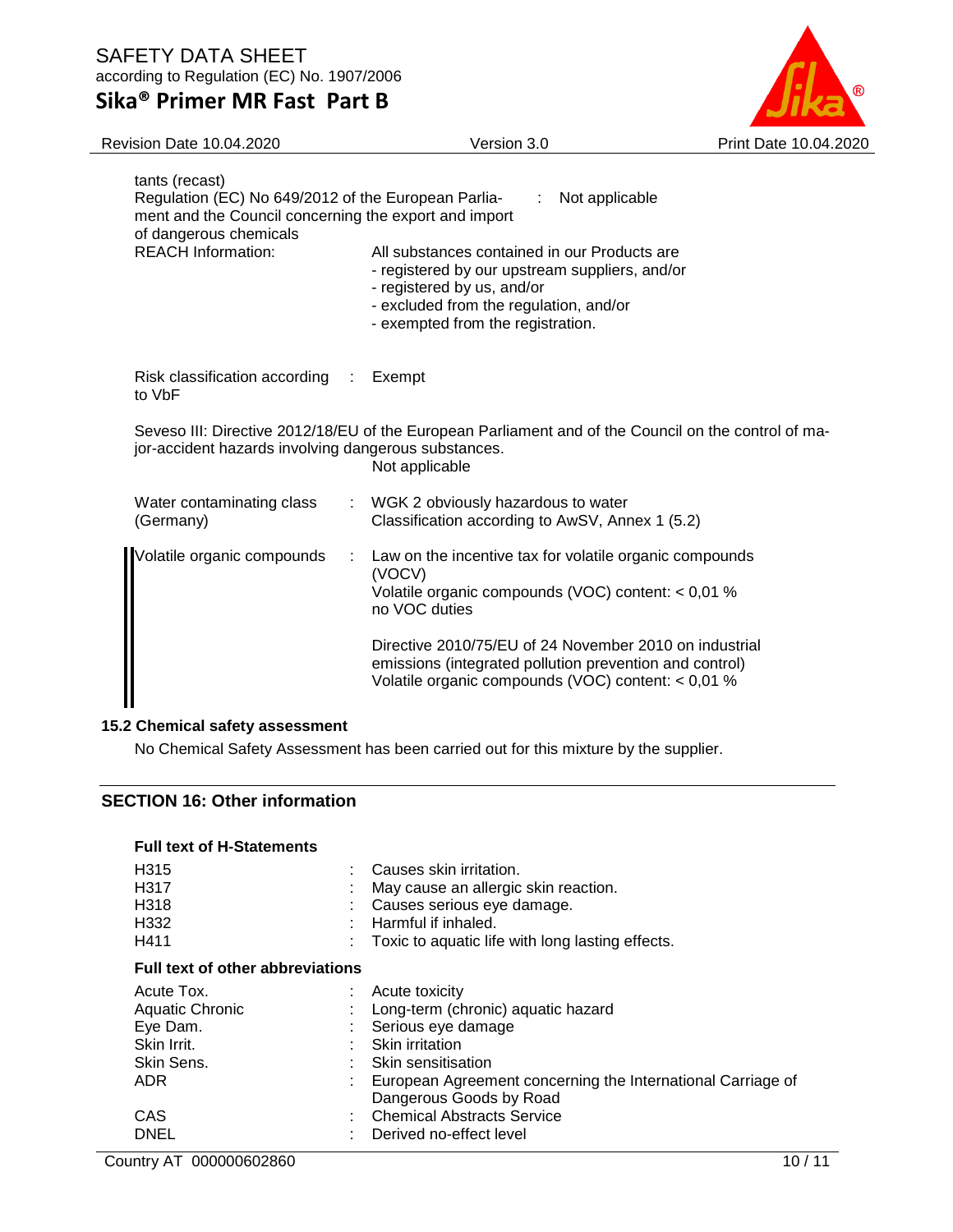according to Regulation (EC) No. 1907/2006

# **Sika® Primer MR Fast Part B**



| Revision Date 10.04.2020                                                                                                                                 | Version 3.0                                                                                                                                                                                                                                                                                                              | Print Date 10.04.2020 |
|----------------------------------------------------------------------------------------------------------------------------------------------------------|--------------------------------------------------------------------------------------------------------------------------------------------------------------------------------------------------------------------------------------------------------------------------------------------------------------------------|-----------------------|
| tants (recast)<br>Regulation (EC) No 649/2012 of the European Parlia-<br>ment and the Council concerning the export and import<br>of dangerous chemicals | Not applicable<br>÷                                                                                                                                                                                                                                                                                                      |                       |
| <b>REACH Information:</b>                                                                                                                                | All substances contained in our Products are<br>- registered by our upstream suppliers, and/or<br>- registered by us, and/or<br>- excluded from the regulation, and/or<br>- exempted from the registration.                                                                                                              |                       |
| Risk classification according :<br>to VbF                                                                                                                | Exempt                                                                                                                                                                                                                                                                                                                   |                       |
| jor-accident hazards involving dangerous substances.                                                                                                     | Seveso III: Directive 2012/18/EU of the European Parliament and of the Council on the control of ma-<br>Not applicable                                                                                                                                                                                                   |                       |
| Water contaminating class<br>(Germany)                                                                                                                   | WGK 2 obviously hazardous to water<br>Classification according to AwSV, Annex 1 (5.2)                                                                                                                                                                                                                                    |                       |
| Volatile organic compounds                                                                                                                               | Law on the incentive tax for volatile organic compounds<br>÷<br>(VOCV)<br>Volatile organic compounds (VOC) content: < 0,01 %<br>no VOC duties<br>Directive 2010/75/EU of 24 November 2010 on industrial<br>emissions (integrated pollution prevention and control)<br>Volatile organic compounds (VOC) content: < 0,01 % |                       |
|                                                                                                                                                          |                                                                                                                                                                                                                                                                                                                          |                       |

## **15.2 Chemical safety assessment**

No Chemical Safety Assessment has been carried out for this mixture by the supplier.

## **SECTION 16: Other information**

| <b>Full text of H-Statements</b>        |                                                             |  |  |
|-----------------------------------------|-------------------------------------------------------------|--|--|
| H <sub>315</sub>                        | Causes skin irritation.                                     |  |  |
| H <sub>3</sub> 17                       | May cause an allergic skin reaction.                        |  |  |
| H318                                    | Causes serious eye damage.                                  |  |  |
| H <sub>332</sub>                        | Harmful if inhaled.                                         |  |  |
| H411                                    | Toxic to aquatic life with long lasting effects.            |  |  |
| <b>Full text of other abbreviations</b> |                                                             |  |  |
| Acute Tox.                              | Acute toxicity                                              |  |  |
| Aquatic Chronic                         | Long-term (chronic) aquatic hazard                          |  |  |
| Eye Dam.                                | : Serious eye damage                                        |  |  |
| Skin Irrit.                             | <b>Skin irritation</b>                                      |  |  |
| Skin Sens.                              | Skin sensitisation                                          |  |  |
| ADR.                                    | European Agreement concerning the International Carriage of |  |  |
|                                         | Dangerous Goods by Road                                     |  |  |
| CAS                                     | <b>Chemical Abstracts Service</b>                           |  |  |
| <b>DNEL</b>                             | Derived no-effect level                                     |  |  |